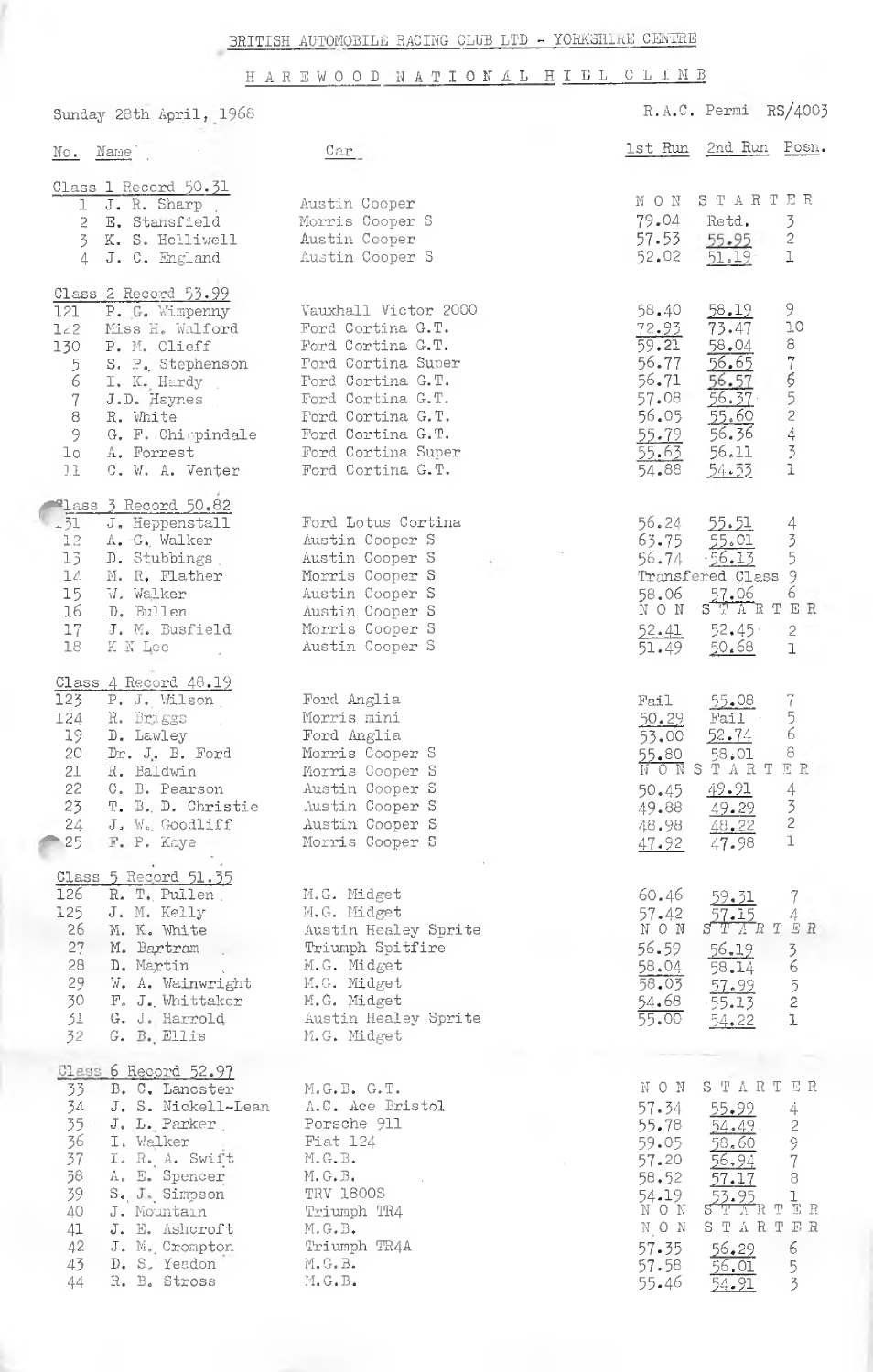HAREWOOD NATIONAL HILL CLIMB

Sunday 28th April, 1968

|                       | R.A.C. Permi RS/4003 |
|-----------------------|----------------------|
| 1st Run 2nd Run Posn. |                      |

| $\overline{\text{No}}$ .                                                                        | Name                                                                                                                                                                                                                             | Car                                                                                                                                                                                                                 | 1st Run                                                                                            | 2nd Run                                                                                                                | Posn                                                        |
|-------------------------------------------------------------------------------------------------|----------------------------------------------------------------------------------------------------------------------------------------------------------------------------------------------------------------------------------|---------------------------------------------------------------------------------------------------------------------------------------------------------------------------------------------------------------------|----------------------------------------------------------------------------------------------------|------------------------------------------------------------------------------------------------------------------------|-------------------------------------------------------------|
| ı<br>2<br>3                                                                                     | Class 1 Record 50.31<br>J. R. Sharp<br>E. Stansfield<br>K. S. Helliwell<br>J. C. England<br>4                                                                                                                                    | Austin Cooper<br>Morris Cooper S<br>Austin Cooper<br>Austin Cooper S                                                                                                                                                | NON<br>79.04<br>57.53<br>52.02                                                                     | STARTER<br>Retd.<br>55.95<br>$51.19 -$                                                                                 | 3<br>$\sqrt{2}$<br>$\mathbbm{1}$                            |
| 121<br>$L \angle 2$<br>130<br>5<br>6<br>$\boldsymbol{7}$<br>$\,$ 8 $\,$<br>9<br>$1\circ$<br>II. | Class 2 Record 53.99<br>P. G. Wimpenny<br>Miss H. Walford<br>P. M. Clieff<br>S. P. Stephenson<br>I. K. Hardy<br>J.D. Haynes<br>R. White<br>G. F. Chimpindale<br>A. Forrest<br>C. W. A. Venter                                    | Vauxhall Victor 2000<br>Ford Cortina G.T.<br>Ford Cortina G.T.<br>Ford Cortina Super<br>Ford Cortina G.T.<br>Ford Cortina G.T.<br>Ford Cortina G.T.<br>Ford Cortina G.T.<br>Ford Cortina Super<br>Ford Cortina G.T. | 58.40<br>72.93<br>59.21<br>56.77<br>56.71<br>57.08<br>56.05<br>55.79<br>55.63<br>54.88             | 58.19<br>73.47<br>58.04<br>56.65<br>56.57<br>56.37<br>55.60<br>56.36<br>56.11<br>54.53                                 | 9<br>10<br>87652431                                         |
| $-51$<br>12<br>13 <sub>1</sub><br>14<br>15<br>16<br>17<br>18                                    | Tlass 3 Record 50.82<br>J. Heppenstall<br>A. G. Walker<br>D. Stubbings<br>M. R. Flather<br>W. Walker<br>D. Bullen<br>J. M. Busfield<br>K N Lee                                                                                   | Ford Lotus Cortina<br>Austin Cooper S<br>Austin Cooper S<br>Morris Cooper S<br>Austin Cooper S<br>Austin Cooper S<br>Morris Cooper S<br>Austin Cooper S                                                             | 56.24<br>63.75<br>56.74<br>58.06<br>NON<br>52.41<br>51.49                                          | 55.51<br>$\frac{55.01}{56.13}$<br>Transfered Class 9<br>57.06<br>$S$ T $\Lambda$ R T<br>52.45<br>50.68                 | 435<br>6<br>ER<br>2<br>$\mathbf 1$                          |
| 123<br>124<br>19<br>20<br>21<br>22<br>23<br>$24 -$<br>25                                        | Class 4 Record 48.19<br>P. J. Wilson<br>R. Briggs<br>D. Lawley<br>Dr. J. B. Ford<br>R. Baldwin<br>C. B. Pearson<br>T. B. D. Christie<br>J. W. Goodliff<br>F. P. Kaye                                                             | Ford Anglia<br>Morris mini<br>Ford Anglia<br>Morris Cooper S<br>Morris Cooper S<br>Austin Cooper S<br>Austin Cooper S<br>Austin Cooper S<br>Morris Cooper S                                                         | Fail<br>50.29<br>53.00<br>50.45<br>49.88<br>48.98<br>47.92                                         | 55.08<br>Fail<br>52.74<br>55.80 58.01<br>NONSTART<br>49.91<br>49.29<br>48.22<br>47.98                                  | 7<br>5<br>6<br>8<br>回显<br>4<br>$\frac{3}{2}$<br>$\mathbf 1$ |
| 126<br>125<br>26<br>27<br>28<br>29<br>30<br>31<br>32                                            | Class 5 Record 51.35<br>R. T. Pullen<br>J. M. Kelly<br>M. K. White<br>M. Bartram<br>D. Martin<br>W. A. Wainwright<br>F. J. Whittaker<br>G. J. Harrold<br>G. B. Ellis                                                             | M.G. Midget<br>M.G. Midget<br>Austin Healey Sprite<br>Triumph Spitfire<br>M.G. Midget<br>M.G. Midget<br>M.G. Midget<br>Austin Healey Sprite<br>M.G. Midget                                                          | 60.46<br>57.42<br>NON<br>56.59<br>58.04<br>58.03<br>54.68<br>55.00                                 | 59.31<br>57.15<br>$STT$ ART<br>56.19<br>58.14<br>57.99<br>55.13<br>54.22                                               | 7<br>4<br>E R<br>3652<br>l                                  |
| 33<br>34<br>35<br>36<br>37<br>38<br>39<br>40<br>41<br>42<br>43<br>44                            | Class 6 Record 52.97<br>B. C. Lancster<br>J. S. Nickell-Lean<br>J. L. Parker<br>I. Walker<br>I. R. A. Swift<br>A. E. Spencer<br>S. J. Simpson<br>J. Mountain<br>J. E. Ashcroft<br>J. M. Crompton<br>D. S. Yeadon<br>R. B. Stross | M.G.B. G.T.<br>A.C. Ace Bristol<br>Porsche 911<br>Fiat 124<br>M.G.B.<br>$M_{\bullet} G_{\bullet} B_{\bullet}$<br><b>TRV 1800S</b><br>Triumph TR4<br>M.G.B.<br>Triumph TR4A<br>$M$ , $G$ , $B$ .<br>M.G.B.           | NON<br>57.34<br>55.78<br>59.05<br>57.20<br>58.52<br>54.19<br>NON<br>NON<br>57.35<br>57.58<br>55.46 | STARTER<br><u>55.99</u><br>54.49<br>58,60<br>56,94<br>57.17<br>53.95<br>STITTR TËR<br>START<br>56.29<br>56.01<br>54.91 | 4<br>2978<br>l<br>E R<br>6<br>$\frac{5}{3}$                 |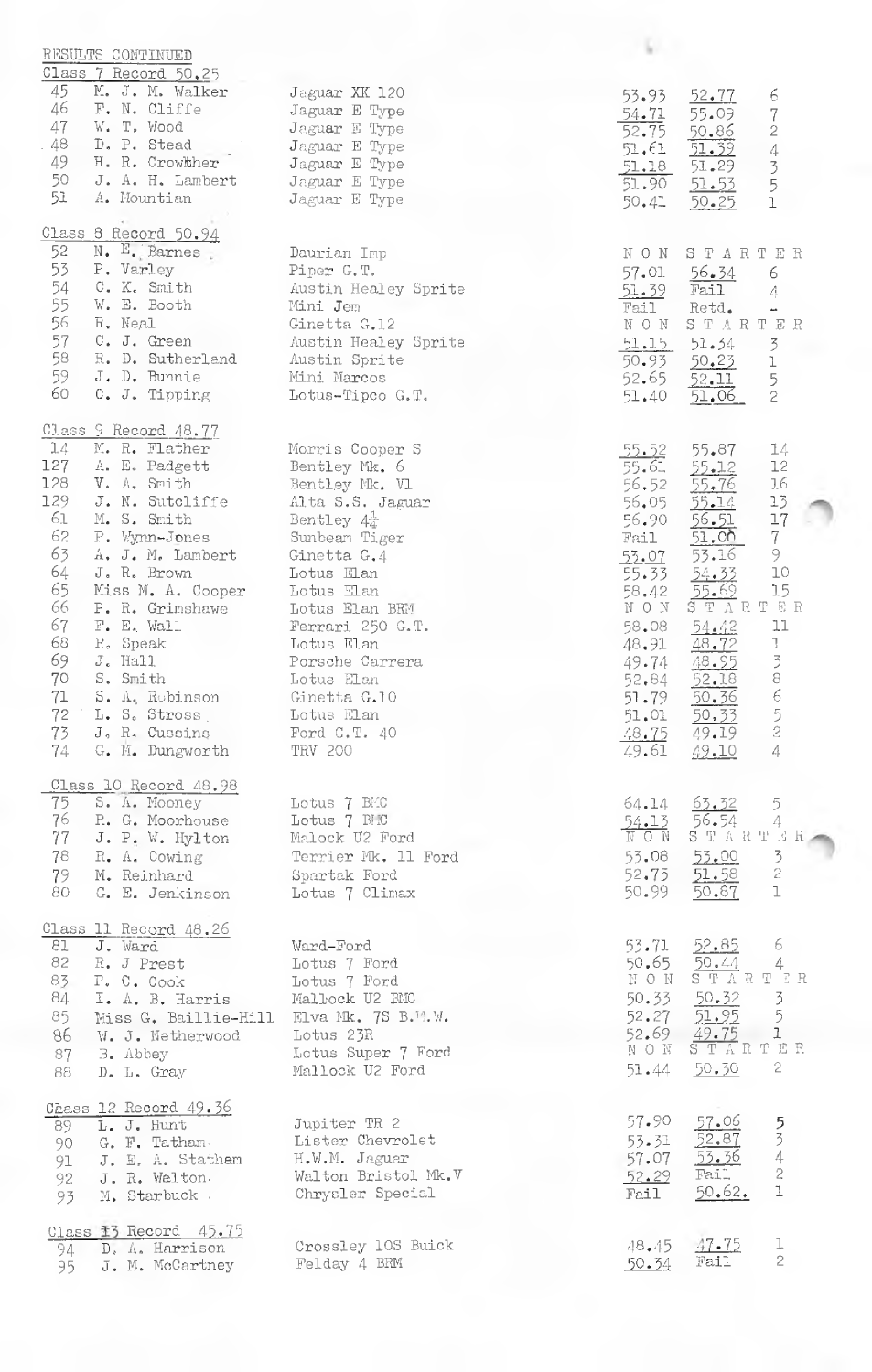| RESULTS CONTINUED                              |                                         |                                                                                                |
|------------------------------------------------|-----------------------------------------|------------------------------------------------------------------------------------------------|
| Class 7 Record 50.25                           |                                         |                                                                                                |
| 45<br>M. J. M. Walker                          | Jaguar XK 120                           | 52.77<br>53.93<br>6                                                                            |
| 46<br>F. N. Cliffe<br>47<br>W. T. Wood         | Jaguar E Type                           | 55.09<br>$\boldsymbol{7}$<br>54.71                                                             |
| . 48.<br>D. P. Stead                           | Jaguar E Type<br>Jaguar E Type          | 52.75<br>$\sqrt{2}$<br>$\frac{50.86}{51.39}$                                                   |
| 49 H.R. Crowther                               | Jaguar E Type                           | $\mathcal{A}% _{0}=\mathcal{A}_{\mathrm{CL}}\times\mathcal{A}_{\mathrm{CL}}$<br>51.61<br>51.29 |
| 50 J. A. H. Lambert                            | Jaguar E Type                           | $\overline{3}$<br>$\frac{51.18}{51.90}$<br>5<br>51.53                                          |
| 51.<br>A. Mountian                             | Jaguar E Type                           | $\mathbf{1}$<br>50.41<br>50.25                                                                 |
|                                                |                                         |                                                                                                |
| Class 8 Record 50.94                           |                                         |                                                                                                |
| 52<br>N. E. Barnes                             | Daurian Imp                             | NON STARTER                                                                                    |
| 53<br>P. Varley                                | Piper G.T.                              | 57.01 56.34<br>6                                                                               |
| 54<br>C. K. Smith                              | Austin Healey Sprite                    | Fail<br>51.39<br>$\bigwedge_{i=1}^n$                                                           |
| 55<br>W. E. Booth                              | Mini Jem                                | Fail<br>Retd.<br>$\overline{\phantom{a}}$                                                      |
| 56<br>R. Neal<br>57<br>C. J. Green             | Ginetta G.12<br>Austin Healey Sprite    | NON STARTER                                                                                    |
| 58<br>R. D. Sutherland                         | Austin Sprite                           | 51.15<br>51.34<br>$\overline{3}$<br>50.93<br>50.23<br>ı                                        |
| 59 -<br>J. D. Bunnie                           | Mini Marcos                             | 52.65<br>52.11                                                                                 |
| 60<br>C. J. Tipping                            | Lotus-Tipco G.T.                        | $\frac{5}{2}$<br>51.40<br>51.06                                                                |
|                                                |                                         |                                                                                                |
| Class 9 Record 48.77                           |                                         |                                                                                                |
| 14 M.R. Flather                                | Morris Cooper S                         | 55.87<br>14<br><u>55.52 </u>                                                                   |
| 127 A. E. Padgett                              | Bentley Mk. 6                           | 55.61<br>55.12<br>12                                                                           |
| 128<br>V. A. Smith                             | Bentley Mk. Vl                          | 55.76<br>16<br>56.52                                                                           |
| 129<br>J. N. Sutcliffe<br>61<br>M. S. Smith    | Alta S.S. Jaguar                        | 13<br>56.05<br>55.14<br>$17\,$                                                                 |
| 62<br>P. Wynn-Jones                            | Bentley $4\frac{1}{4}$<br>Sunbeam Tiger | 56.51<br>56.90<br>7 <sup>1</sup><br><u>51.00 </u><br>Fail                                      |
| 63<br>A. J. M. Lambert                         | Ginetta G.4                             | 53.16<br>9<br><u>53.07</u>                                                                     |
| 64<br>J. R. Brown                              | Lotus Elan                              | $10\,$<br>55.33<br>54.33                                                                       |
| 65.<br>Miss M. A. Cooper                       | Lotus Elan                              | 15<br>58.42                                                                                    |
| 66<br>P. R. Grimshawe                          | Lotus Elan BRM                          | $\begin{array}{cc}\n 55.69 & 15 \\ \hline\n S T A R T E R\n\end{array}$<br>N O N               |
| 67<br>F. E. Wall                               | Ferrari 250 G.T.                        | 54.42<br>11<br>58.08                                                                           |
| 68<br>R. Speak                                 | Lotus Elan                              | ı<br>48.72<br>48.91                                                                            |
| 69<br>$Je$ Hall                                | Porsche Carrera                         | $\frac{3}{8}$<br>48.95<br>49.74                                                                |
| 70<br>S. Smith                                 | Lotus Elan                              | 52.18<br>52.84<br>$\epsilon$                                                                   |
| 71<br>S. A. Robinson<br>72 L. S. Stross        | Ginetta G.10<br>Lotus Elan              | 50.36<br>51.79                                                                                 |
| 73 J.R. Cussins Ford G.T. 40                   |                                         | 50.33<br>$\frac{5}{2}$<br>51.01<br>48.75 49.19                                                 |
| 74 G. M. Dungworth                             | TRV 200                                 | 4<br>49.61<br>49.10                                                                            |
|                                                |                                         |                                                                                                |
| Class 10 Record 48.98                          |                                         |                                                                                                |
| 75 S.A. Mooney                                 | Lotus 7 BMC                             | 64.14 63.32<br>$\overline{5}$                                                                  |
| 76 R. G. Moorhouse                             | Lotus 7 BEC                             | 56.54<br>4<br>54.13                                                                            |
| 77<br>J. P. W. Hylton                          | Malock U2 Ford                          | STARTER<br>NON                                                                                 |
| 78 R. A. Cowing                                | Terrier Mk. 11 Ford                     | $\overline{3}$<br>$53.08$ $53.00$<br>$\overline{2}$                                            |
| 79.<br>M. Reinhard<br>80<br>G. E. Jenkinson    | Spartak Ford                            | 52.75 51.58<br>$\mathbf{I}$<br>50.99 50.87                                                     |
|                                                | Lotus 7 Climax                          |                                                                                                |
| Class 11 Record 48.26                          |                                         |                                                                                                |
| J. Ward<br>81                                  | Ward-Ford                               | 6.<br>53.71 52.85                                                                              |
| 82<br>R. J Prest                               | Lotus 7 Ford                            | 50.65 50.44<br>4                                                                               |
| 83<br>P. C. Cook                               | Lotus 7 Ford                            | NON STARTER                                                                                    |
| $84$ I. A. B. Harris                           | Malbock U2 BMC                          | 50.33 50.32 3<br>52.27 51.95 5                                                                 |
| 85.<br>Miss G. Baillie-Hill Elva Mk. 7S B.W.W. |                                         |                                                                                                |
| 86.<br>W. J. Netherwood                        | Lotus 23R                               | 52.69 49.75 1<br>NON STARTER                                                                   |
| 87<br>B. Abbey                                 | Lotus Super 7 Ford                      | $\mathbf{2}$                                                                                   |
| D. L. Gray<br>88                               | Mallock U2 Ford                         | 50.30<br>51.44                                                                                 |
| Chass 12 Record 49.36                          |                                         |                                                                                                |
| 89 L. J. Hunt                                  | Jupiter TR 2                            | 57.90<br>57.06                                                                                 |
| 90 $G.$ F. Tatham.                             | Lister Chevrolet                        | 534<br>52.87<br>53.31                                                                          |
| 91 J. E. A. Stathem                            | H.W.M. Jaguar                           | 53.36<br>57.07                                                                                 |
| J. R. Welton<br>92                             | Walton Bristol Mk.V                     | $\mathrel{\mathop{\mathsf{2}}}$<br>Fail<br>52.29                                               |
| M. Starbuck<br>93                              | Chrysler Special                        | Ĩ.<br>50.62.<br>Fail                                                                           |
|                                                |                                         |                                                                                                |
| Class 13 Record 45.75                          |                                         | ı                                                                                              |
| 94 D. A. Harrison                              | Crossley 10S Buick<br>Felday 4 BRM      | 47.75<br>48.45<br>$\mathfrak{C}$<br>Fail<br>50.34                                              |
| 95 J. M. McCartney                             |                                         |                                                                                                |
|                                                |                                         |                                                                                                |
|                                                |                                         |                                                                                                |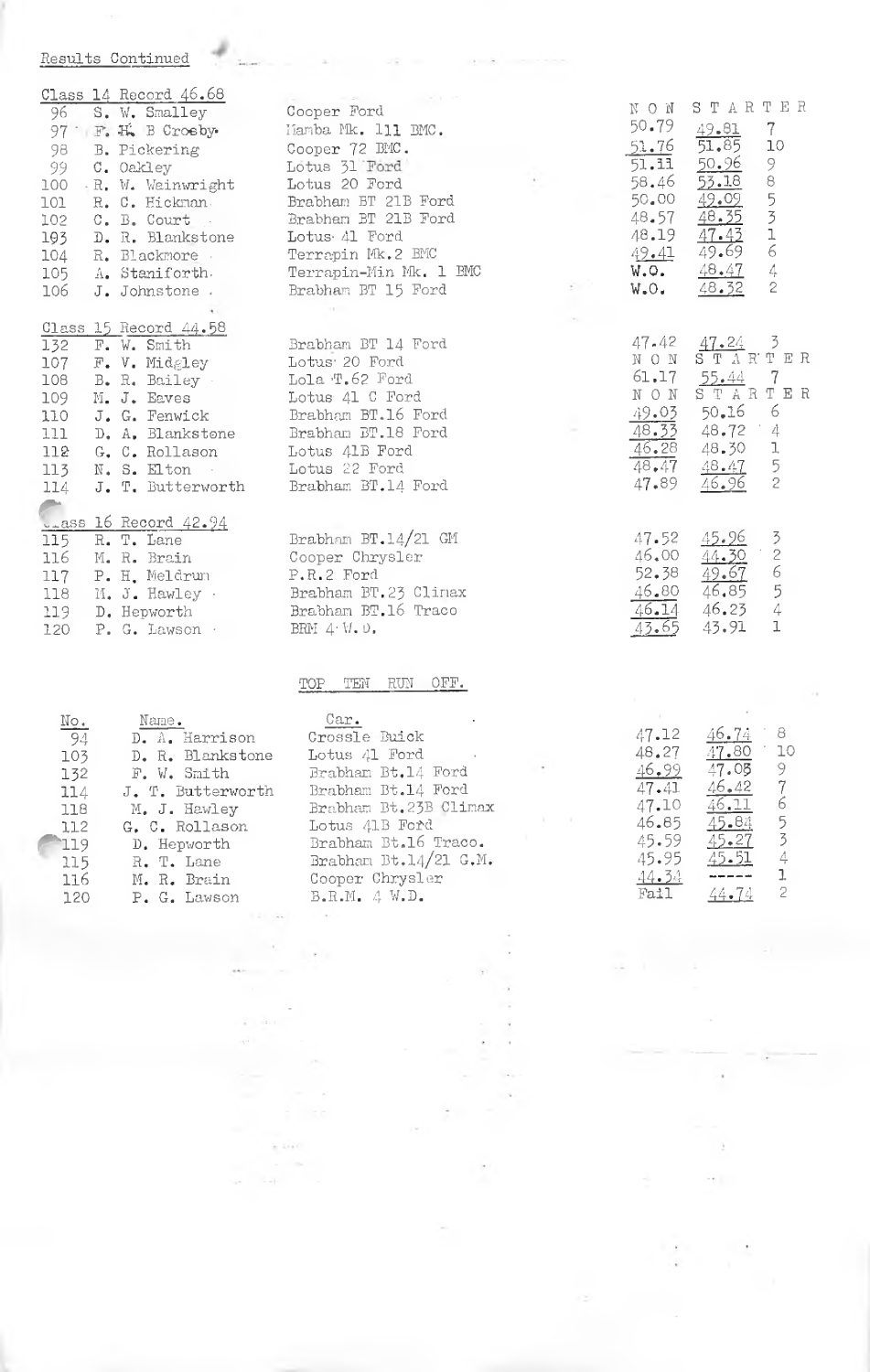## Results Continued

|       |                        | <u>Class 14 Record 46.68</u> |
|-------|------------------------|------------------------------|
| 96    |                        | S. W. Smalley                |
| - 97  | $\mathbb{F}_{\bullet}$ | H. B Crosby                  |
| 98    | $B_{\bullet}$          | Pickering                    |
| -99 - |                        | C. Oakley                    |
| 100   |                        | R. W. Weinwright             |
| 101   |                        | R. C. Hickman.               |
| 102   |                        | C. B. Court                  |
| 193 - |                        | D. R. Blankstone             |
|       |                        | 104 R. Blackmore             |
| 105   |                        | A. Staniforth.               |
| 106   |                        | J. Johnstone                 |
|       |                        |                              |
|       |                        | Class 15 Record 44.58        |
| 132   |                        | F. W. Smith                  |
| 107   |                        | F. V. Midgley                |
| 108   | $B_{\bullet}$          | R. Bailey                    |
| 109   |                        | M. J. Eaves                  |
| 110   |                        | J. G. Fenwick                |
| 111   |                        | D. A. Blankstone             |
| 112   |                        | G. C. Rollason               |
| 113   |                        | $N_*$ S. Elton $\cdot$       |
| 114   |                        | J. T. Butterworth            |
|       |                        |                              |
|       |                        | Lass 16 Record 42.94         |
| 115   |                        | R. T. Lane                   |
| 116   |                        | M. R. Brain                  |
| 117   |                        | P. H. Meldrun                |
| 118   |                        | M. J. Hawley .               |
| 119   |                        | D. Hepworth                  |
| 120   |                        | $P. G.$ Lawson $\cdot$       |

Cooper Ford Mamba Mk. 111 BMC. Cooper 72 BMC. Lotus 31 Ford<br>Lotus 20 Ford Brabham BT 21B Ford<br>Brabham BT 21B Ford Lotus 41 Ford Terrapin Mk.2 BMC Terrapin-Min Mk. 1 BMC Brabham BT 15 Ford Brabham BT 14 Ford Lotus 20 Ford Lola T.62 Ford Lotus 41 C Ford Brabham BT.16 Ford Brabham BT.18 Ford Lotus 41B Ford Lotus 22 Ford

Brabham BT.14/21 GM Cooper Chrysler  $P.R.2$  Ford Brabham BT.23 Clinax Brabham BT.16 Traco BRM  $4 \ W$ ,  $0$ ,

## TOP TEN RUN OFF.

**EL Ga** 

 $\pm$  1010.

Brabham BT.14 Ford

|                        | Name.             | Car.                  |       |                                                                                                                                                                                                                                                                                                                                                                                              |      |
|------------------------|-------------------|-----------------------|-------|----------------------------------------------------------------------------------------------------------------------------------------------------------------------------------------------------------------------------------------------------------------------------------------------------------------------------------------------------------------------------------------------|------|
| $\frac{\text{No}}{94}$ | D. A. Harrison    | Crossle Buick         | 47.12 | 46.74                                                                                                                                                                                                                                                                                                                                                                                        | - 8  |
| 103                    | D. R. Blankstone  | Lotus 41 Ford         | 48.27 | 47.80                                                                                                                                                                                                                                                                                                                                                                                        | - 10 |
| 132                    | F. W. Smith       | Brabhan Bt.14 Ford    | 46,99 | 47.05                                                                                                                                                                                                                                                                                                                                                                                        |      |
| 114                    | J. T. Butterworth | Brabham Bt.14 Ford    | 47.41 | 46.42                                                                                                                                                                                                                                                                                                                                                                                        |      |
| 118                    | M. J. Hawley      | Brabham Bt.23B Climax | 47.10 | 46.11                                                                                                                                                                                                                                                                                                                                                                                        | -6   |
| 112                    | G. C. Rollason    | Lotus 41B Ford        | 46.85 | 45.84                                                                                                                                                                                                                                                                                                                                                                                        |      |
| 119                    | D. Hepworth       | Brabham Bt.16 Traco.  | 45.59 | $45 - 27$                                                                                                                                                                                                                                                                                                                                                                                    |      |
| 115                    | R. T. Lane        | Brabham Bt.14/21 G.M. | 45.95 | 45.51                                                                                                                                                                                                                                                                                                                                                                                        |      |
| 116                    | M. R. Brain       | Cooper Chrysler       | 44.34 | $\frac{1}{2} \frac{1}{2} \frac{1}{2} \frac{1}{2} \frac{1}{2} \frac{1}{2} \frac{1}{2} \frac{1}{2} \frac{1}{2} \frac{1}{2} \frac{1}{2} \frac{1}{2} \frac{1}{2} \frac{1}{2} \frac{1}{2} \frac{1}{2} \frac{1}{2} \frac{1}{2} \frac{1}{2} \frac{1}{2} \frac{1}{2} \frac{1}{2} \frac{1}{2} \frac{1}{2} \frac{1}{2} \frac{1}{2} \frac{1}{2} \frac{1}{2} \frac{1}{2} \frac{1}{2} \frac{1}{2} \frac{$ |      |
| 120                    | P. G. Lawson      | B.R.M. 4 W.D.         | Fail  | 44.74                                                                                                                                                                                                                                                                                                                                                                                        |      |
|                        |                   |                       |       |                                                                                                                                                                                                                                                                                                                                                                                              |      |

 $46.23$  $-4$ 43.91 1

NON STARTER

49.81

 $51.85$ 

 $50.96$ 

 $53.18$ 

 $49.09$ 

 $\frac{48.35}{47.42}$ 

 $49.69$ 

48.47

 $48.32$ 

 $7<sup>1</sup>$ 

 $10$ 

9

 $\overline{8}$ 

5  $\frac{1}{2}$ 

 $\epsilon$ 

 $\overline{4}$ 

ż

4

 $\mathbf{I}$ 

 $\overline{5}$ 

 $\overline{2}$ 

 $\overline{3}$ 

 $\frac{1}{2}$ 

- 6

 $-5$ 

 $\frac{47\cdot24}{\text{S} \ \text{T} \ \text{A} \ \text{R} \ \text{T} \ \text{E} \ \text{R}}$ 

 $\begin{array}{cc}\n 55.44 & 7 \\
\text{S} \text{ T A R T E R}\n \end{array}$ 

 $50.16$  6

48.72

48.30

 $\frac{48.47}{46.96}$ 

45.96

 $\frac{44.30}{49.67}$ 

 $46.85$ 

50.79

 $51.76$ 

 $51.11$ 

58.46

50.00

 $48.57$ 

48.19

49.41

 $W_{\bullet}Q_{\bullet}$ 

 $W<sub>n</sub>O<sub>n</sub>$ 

47.42

NON.

 $61.17$ 

NON

 $\frac{49.03}{48.33}$ <br> $\frac{46.28}{48.47}$ 

47.89

47.52

46.00

52.38

46.80

 $46.14$ 

 $43.65$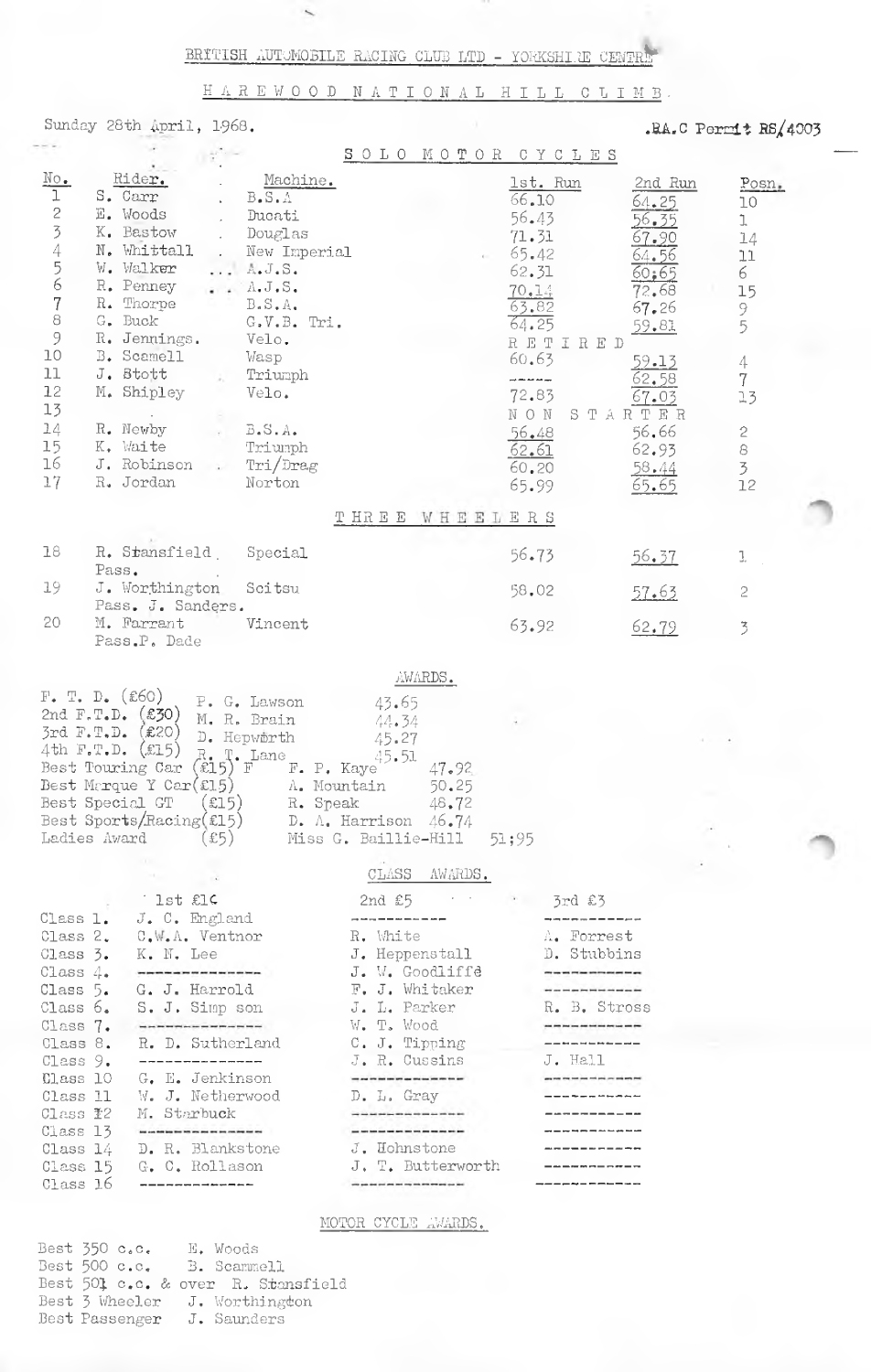HAREWOOD NATIONAL HILL CLIMB.

Sunday 28th April, 1968.

Best 501 c.c. & over R. Stansfield<br>Best 501 c.c. & over R. Stansfield<br>Best 3 Wheeler J. Worthington<br>Best Passenger J. Saunders

.RA.C Permit  $RS/4003$ 

|                                                                                                                      |                                                                                                                                                                                                                                                                   |                                                                                                                                                                                            | SOLO MOTOR CYCLES                                                                                                                                                                                                                                                                                                                                   |                                                                                                                                                                                                                                                                                                                                                                                                                    |                                                                                                                                                           |                                                                                                                                   |
|----------------------------------------------------------------------------------------------------------------------|-------------------------------------------------------------------------------------------------------------------------------------------------------------------------------------------------------------------------------------------------------------------|--------------------------------------------------------------------------------------------------------------------------------------------------------------------------------------------|-----------------------------------------------------------------------------------------------------------------------------------------------------------------------------------------------------------------------------------------------------------------------------------------------------------------------------------------------------|--------------------------------------------------------------------------------------------------------------------------------------------------------------------------------------------------------------------------------------------------------------------------------------------------------------------------------------------------------------------------------------------------------------------|-----------------------------------------------------------------------------------------------------------------------------------------------------------|-----------------------------------------------------------------------------------------------------------------------------------|
| $\overline{\text{No}}$ .<br>$\mathbf 1$<br>2345678<br>9<br>10<br>11<br>12<br>13<br>14<br>15<br>16<br>17              | Rider.<br>S. Carr<br>E. Woods<br>K. Bastow<br>N. Whittall<br>W. Walker<br>R. Penney<br>R. Thorpe<br>G. Buck<br>R. Jennings.<br>B. Scamell<br>J. Stott<br>M. Shipley<br>R. Newby<br>K. Waite<br>J. Robinson<br>R. Jordan                                           | Machine.<br>B.S.A<br>Ducati<br>Douglas<br>New Imperial<br>A.J.S.<br>A. J. S.<br>$B_*S_*A_*$<br>G.V.B. Tri.<br>Velo.<br>Wasp<br>Triumph<br>Velo.<br>B.S.A.<br>Triumph<br>Tri/Drag<br>Norton |                                                                                                                                                                                                                                                                                                                                                     | 1st. Run<br>66.10<br>56.43<br>71.31<br>65.42<br>62.31<br>70.14<br>63.82<br>64.25<br>RETIRED<br>60.63<br>للمراكب فترتبط للتر<br>72.83<br>NON<br>56,48<br>62.61<br>60.20<br>65.99                                                                                                                                                                                                                                    | 2nd Run<br>64.25<br>56.35<br>67.90<br>64.56<br>60;65<br>72.68<br>67.26<br>59.81<br>59.13<br>62.58<br>67.03<br>STARTER<br>56.66<br>62.93<br>58.44<br>65.65 | Posn.<br>10<br>J.<br>14<br>ŢJ<br>6<br>15<br>9<br>5<br>4<br>$\overline{7}$<br>13<br>$\sqrt{2}$<br>$\rm{8}$<br>$\overline{3}$<br>12 |
|                                                                                                                      |                                                                                                                                                                                                                                                                   |                                                                                                                                                                                            | THREE WHEELERS                                                                                                                                                                                                                                                                                                                                      |                                                                                                                                                                                                                                                                                                                                                                                                                    |                                                                                                                                                           |                                                                                                                                   |
| 18<br>19                                                                                                             | R. Stansfield<br>Pass.<br>J. Worthington                                                                                                                                                                                                                          | Special<br>Scitsu                                                                                                                                                                          |                                                                                                                                                                                                                                                                                                                                                     | 56.73<br>58.02                                                                                                                                                                                                                                                                                                                                                                                                     | <u>56.37</u>                                                                                                                                              | 1<br>$\geq$                                                                                                                       |
| 20                                                                                                                   | Pass. J. Sanders.<br>M. Farrant<br>Pass.P. Dade                                                                                                                                                                                                                   | Vincent                                                                                                                                                                                    |                                                                                                                                                                                                                                                                                                                                                     | 63.92                                                                                                                                                                                                                                                                                                                                                                                                              | 57.63<br>62.79                                                                                                                                            | $\overline{3}$                                                                                                                    |
| 3rd F.T.D.<br>$4th$ F.T.D.                                                                                           | 2nd $F.T.D.$ (£30)<br>(E20)<br>(x15)<br>Best Touring Car<br>Best Marque Y Car $(\text{\textsterling}15)$<br>Best Special GT (£15)<br>Best Sports/Racing(£15) D. A. Harrison $46.74$<br>Ladies Award (£5) Miss G. Baillie-Hill 51;95                               | M. R. Brain<br>D. Hepworth<br>$R_{\epsilon}$ T. Lane<br>F. P. Kaye'<br>A. Mountain                                                                                                         | 44.34<br>45.27<br>45.51<br>47.92<br>50.25<br>R. Speak 48.72                                                                                                                                                                                                                                                                                         |                                                                                                                                                                                                                                                                                                                                                                                                                    |                                                                                                                                                           |                                                                                                                                   |
| Class 1.<br>Class 3.<br>Class 4.<br>Class 5.<br>Class 6.<br>Class 7.<br>Class 8.<br>Class 9.<br>Class 10<br>Class 11 | lst £1¢<br>$J. C.$ England<br>Class 2. $C_{\bullet}W_{\bullet}\Lambda_{\bullet}$ Ventnor<br>K. N. Lee<br>-----------------<br>G. J. Harrold<br>S. J. Simp son<br>-------------------<br>R. D. Sutherland<br>______________<br>G. E. Jenkinson<br>W. J. Netherwood |                                                                                                                                                                                            | CLASS AWARDS.<br>2nd $\epsilon$ 5 $\cdots$ 3rd $\epsilon$ 3<br>---------------<br>R. White<br>$J•$ Heppenstall<br>J. W. Goodliffe<br>F. J. Whitaker<br>J. L. Parker<br>M. T. Mark<br>$W_{\bullet}$ T. Wood<br>C. J. Tipping<br>J. R. Cussins<br>$\sim$ 100 and 100 km and 100 and 100 and 100 and 100 and<br>D. L. Gray                             | <u>the contract of the contract of the contract of the contract of the contract of the contract of the contract of the contract of the contract of the contract of the contract of the contract of the contract of the contract </u><br>A. Forrest<br>D. Stubbins<br>-------------<br>-----------------<br>R. B. Stross<br>R. B. D. 1000<br>____________<br>J. Hall<br>--------------<br><u>———————————</u>        |                                                                                                                                                           |                                                                                                                                   |
| Class <b>Y</b> 2<br>Class 13<br>Class 14<br>Class 15<br>Class 16                                                     | M. Starbuck<br><b>The part was the first first and was the condition for the</b><br>D. R. Blankstone<br>G. C. Rollason<br>---------------                                                                                                                         |                                                                                                                                                                                            | <b>The continues of the continues of the contract of the contract of the contract of the contract of the contract of the contract of the contract of the contract of the contract of the contract of the contract of the contrac</b><br>J. Hohnstone -----------<br>J. T. Butterworth -----------<br>-----------------------<br>MOTOR CYCLE AWARDS. | ------------<br>$\label{eq:2.1} \frac{1}{2} \left( \frac{1}{2} \sum_{i=1}^n \frac{1}{2} \sum_{j=1}^n \frac{1}{2} \sum_{j=1}^n \frac{1}{2} \sum_{j=1}^n \frac{1}{2} \sum_{j=1}^n \frac{1}{2} \sum_{j=1}^n \frac{1}{2} \sum_{j=1}^n \frac{1}{2} \sum_{j=1}^n \frac{1}{2} \sum_{j=1}^n \frac{1}{2} \sum_{j=1}^n \frac{1}{2} \sum_{j=1}^n \frac{1}{2} \sum_{j=1}^n \frac{1}{2} \sum$<br>------------<br>-------------- |                                                                                                                                                           |                                                                                                                                   |
|                                                                                                                      | Best 350 c.c. E. Woods<br>Best 500 c.c. B. Scammell                                                                                                                                                                                                               |                                                                                                                                                                                            |                                                                                                                                                                                                                                                                                                                                                     |                                                                                                                                                                                                                                                                                                                                                                                                                    |                                                                                                                                                           |                                                                                                                                   |